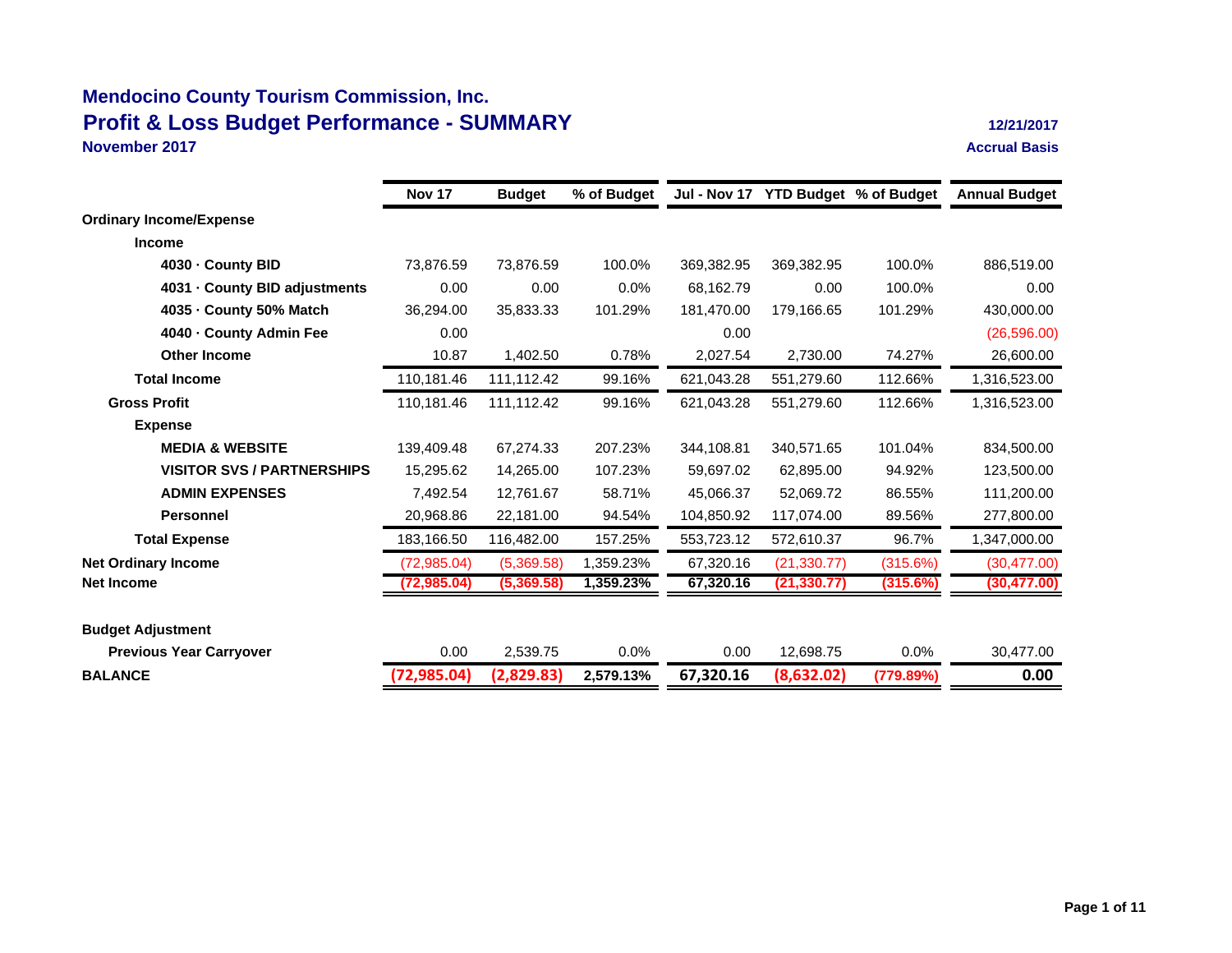**November 2017**

|                                   | <b>Nov 17</b> | <b>Budget</b> | % of Budget |            | Jul - Nov 17 YTD Budget % of Budget |           | <b>Annual Budget</b> |
|-----------------------------------|---------------|---------------|-------------|------------|-------------------------------------|-----------|----------------------|
| <b>Ordinary Income/Expense</b>    |               |               |             |            |                                     |           |                      |
| <b>Income</b>                     |               |               |             |            |                                     |           |                      |
| 4030 County BID                   | 73,876.59     | 73,876.59     | 100.0%      | 369,382.95 | 369,382.95                          | 100.0%    | 886,519.00           |
| 4031 County BID adjustments       | 0.00          | 0.00          | 0.0%        | 68,162.79  | 0.00                                | 100.0%    | 0.00                 |
| 4035 County 50% Match             | 36,294.00     | 35,833.33     | 101.29%     | 181,470.00 | 179.166.65                          | 101.29%   | 430,000.00           |
| 4040 County Admin Fee             | 0.00          |               |             | 0.00       |                                     |           | (26, 596.00)         |
| <b>Other Income</b>               | 10.87         | 1,402.50      | 0.78%       | 2,027.54   | 2,730.00                            | 74.27%    | 26,600.00            |
| <b>Total Income</b>               | 110,181.46    | 111,112.42    | 99.16%      | 621,043.28 | 551,279.60                          | 112.66%   | 1,316,523.00         |
| <b>Gross Profit</b>               | 110,181.46    | 111,112.42    | 99.16%      | 621,043.28 | 551,279.60                          | 112.66%   | 1,316,523.00         |
| <b>Expense</b>                    |               |               |             |            |                                     |           |                      |
| <b>MEDIA &amp; WEBSITE</b>        | 139,409.48    | 67,274.33     | 207.23%     | 344,108.81 | 340,571.65                          | 101.04%   | 834,500.00           |
| <b>VISITOR SVS / PARTNERSHIPS</b> | 15,295.62     | 14,265.00     | 107.23%     | 59,697.02  | 62,895.00                           | 94.92%    | 123,500.00           |
| <b>ADMIN EXPENSES</b>             | 7,492.54      | 12,761.67     | 58.71%      | 45,066.37  | 52,069.72                           | 86.55%    | 111,200.00           |
| <b>Personnel</b>                  | 20,968.86     | 22,181.00     | 94.54%      | 104,850.92 | 117,074.00                          | 89.56%    | 277,800.00           |
| <b>Total Expense</b>              | 183,166.50    | 116,482.00    | 157.25%     | 553,723.12 | 572,610.37                          | 96.7%     | 1,347,000.00         |
| <b>Net Ordinary Income</b>        | (72,985.04)   | (5,369.58)    | 1,359.23%   | 67,320.16  | (21, 330.77)                        | (315.6%)  | (30, 477.00)         |
| <b>Net Income</b>                 | (72, 985.04)  | (5,369.58)    | 1,359.23%   | 67,320.16  | (21, 330.77)                        | (315.6%)  | (30, 477.00)         |
| <b>Budget Adjustment</b>          |               |               |             |            |                                     |           |                      |
| <b>Previous Year Carryover</b>    | 0.00          | 2,539.75      | 0.0%        | 0.00       | 12,698.75                           | 0.0%      | 30,477.00            |
| <b>BALANCE</b>                    | (72, 985.04)  | (2,829.83)    | 2,579.13%   | 67,320.16  | (8,632.02)                          | (779.89%) | 0.00                 |
|                                   |               |               |             |            |                                     |           |                      |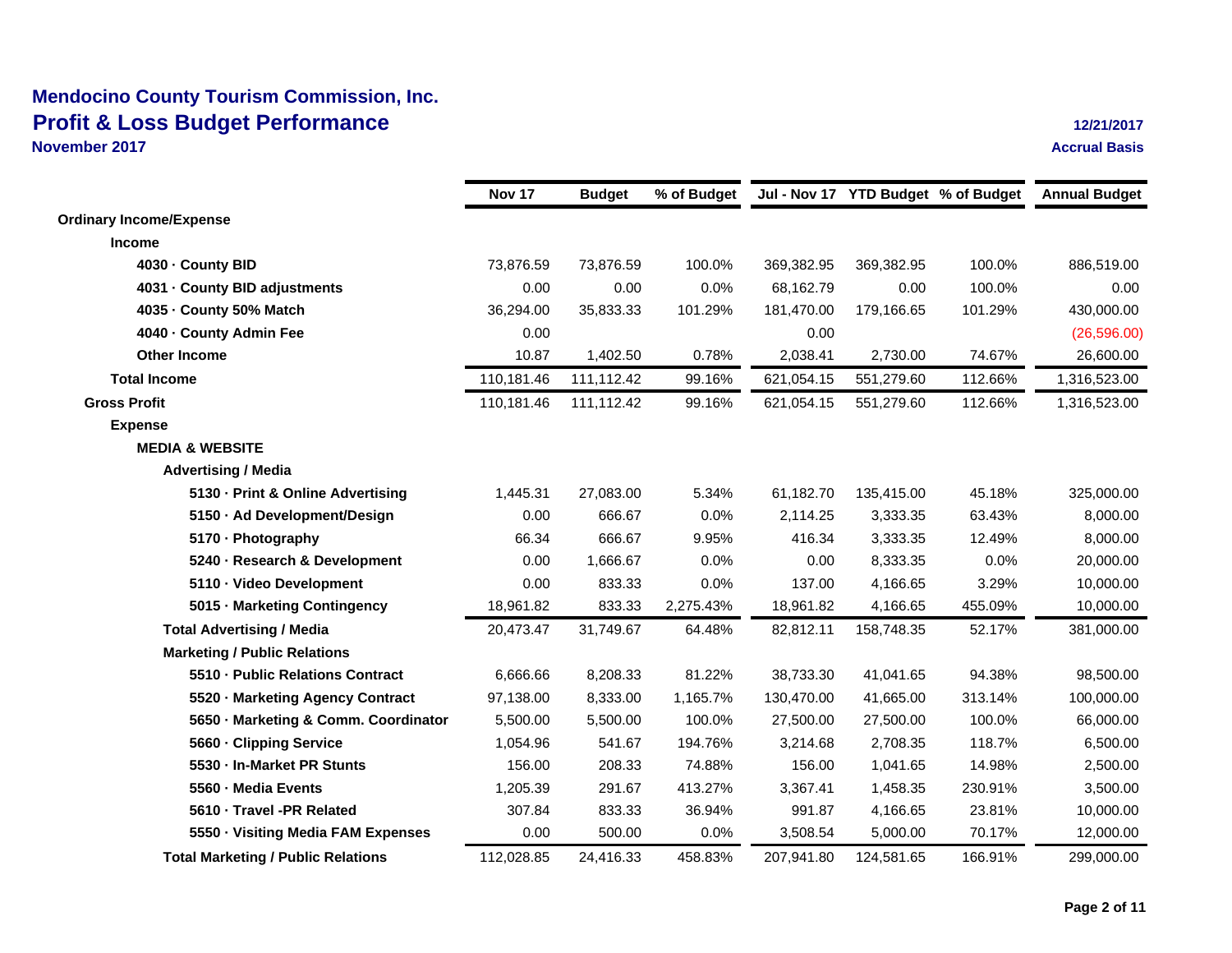**November 2017**

|                                           | Nov 17     | <b>Budget</b> | % of Budget |            |            | Jul - Nov 17 YTD Budget % of Budget | <b>Annual Budget</b> |
|-------------------------------------------|------------|---------------|-------------|------------|------------|-------------------------------------|----------------------|
| <b>Ordinary Income/Expense</b>            |            |               |             |            |            |                                     |                      |
| <b>Income</b>                             |            |               |             |            |            |                                     |                      |
| 4030 - County BID                         | 73,876.59  | 73,876.59     | 100.0%      | 369,382.95 | 369,382.95 | 100.0%                              | 886,519.00           |
| 4031 County BID adjustments               | 0.00       | 0.00          | 0.0%        | 68,162.79  | 0.00       | 100.0%                              | 0.00                 |
| 4035 - County 50% Match                   | 36,294.00  | 35,833.33     | 101.29%     | 181,470.00 | 179,166.65 | 101.29%                             | 430,000.00           |
| 4040 - County Admin Fee                   | 0.00       |               |             | 0.00       |            |                                     | (26, 596.00)         |
| <b>Other Income</b>                       | 10.87      | 1,402.50      | 0.78%       | 2,038.41   | 2,730.00   | 74.67%                              | 26,600.00            |
| <b>Total Income</b>                       | 110,181.46 | 111,112.42    | 99.16%      | 621,054.15 | 551,279.60 | 112.66%                             | 1,316,523.00         |
| <b>Gross Profit</b>                       | 110,181.46 | 111,112.42    | 99.16%      | 621,054.15 | 551,279.60 | 112.66%                             | 1,316,523.00         |
| <b>Expense</b>                            |            |               |             |            |            |                                     |                      |
| <b>MEDIA &amp; WEBSITE</b>                |            |               |             |            |            |                                     |                      |
| <b>Advertising / Media</b>                |            |               |             |            |            |                                     |                      |
| 5130 - Print & Online Advertising         | 1,445.31   | 27,083.00     | 5.34%       | 61,182.70  | 135,415.00 | 45.18%                              | 325,000.00           |
| 5150 Ad Development/Design                | 0.00       | 666.67        | 0.0%        | 2,114.25   | 3,333.35   | 63.43%                              | 8,000.00             |
| 5170 Photography                          | 66.34      | 666.67        | 9.95%       | 416.34     | 3,333.35   | 12.49%                              | 8,000.00             |
| 5240 Research & Development               | 0.00       | 1,666.67      | 0.0%        | 0.00       | 8,333.35   | 0.0%                                | 20,000.00            |
| 5110 Video Development                    | 0.00       | 833.33        | 0.0%        | 137.00     | 4,166.65   | 3.29%                               | 10,000.00            |
| 5015 Marketing Contingency                | 18,961.82  | 833.33        | 2,275.43%   | 18,961.82  | 4,166.65   | 455.09%                             | 10,000.00            |
| <b>Total Advertising / Media</b>          | 20,473.47  | 31,749.67     | 64.48%      | 82,812.11  | 158,748.35 | 52.17%                              | 381,000.00           |
| <b>Marketing / Public Relations</b>       |            |               |             |            |            |                                     |                      |
| 5510 Public Relations Contract            | 6,666.66   | 8,208.33      | 81.22%      | 38,733.30  | 41,041.65  | 94.38%                              | 98,500.00            |
| 5520 Marketing Agency Contract            | 97,138.00  | 8,333.00      | 1,165.7%    | 130,470.00 | 41,665.00  | 313.14%                             | 100,000.00           |
| 5650 Marketing & Comm. Coordinator        | 5,500.00   | 5,500.00      | 100.0%      | 27,500.00  | 27,500.00  | 100.0%                              | 66,000.00            |
| 5660 - Clipping Service                   | 1,054.96   | 541.67        | 194.76%     | 3,214.68   | 2,708.35   | 118.7%                              | 6,500.00             |
| 5530 - In-Market PR Stunts                | 156.00     | 208.33        | 74.88%      | 156.00     | 1,041.65   | 14.98%                              | 2,500.00             |
| 5560 - Media Events                       | 1,205.39   | 291.67        | 413.27%     | 3,367.41   | 1,458.35   | 230.91%                             | 3,500.00             |
| 5610 Travel -PR Related                   | 307.84     | 833.33        | 36.94%      | 991.87     | 4,166.65   | 23.81%                              | 10,000.00            |
| 5550 Visiting Media FAM Expenses          | 0.00       | 500.00        | 0.0%        | 3,508.54   | 5,000.00   | 70.17%                              | 12,000.00            |
| <b>Total Marketing / Public Relations</b> | 112,028.85 | 24,416.33     | 458.83%     | 207,941.80 | 124,581.65 | 166.91%                             | 299,000.00           |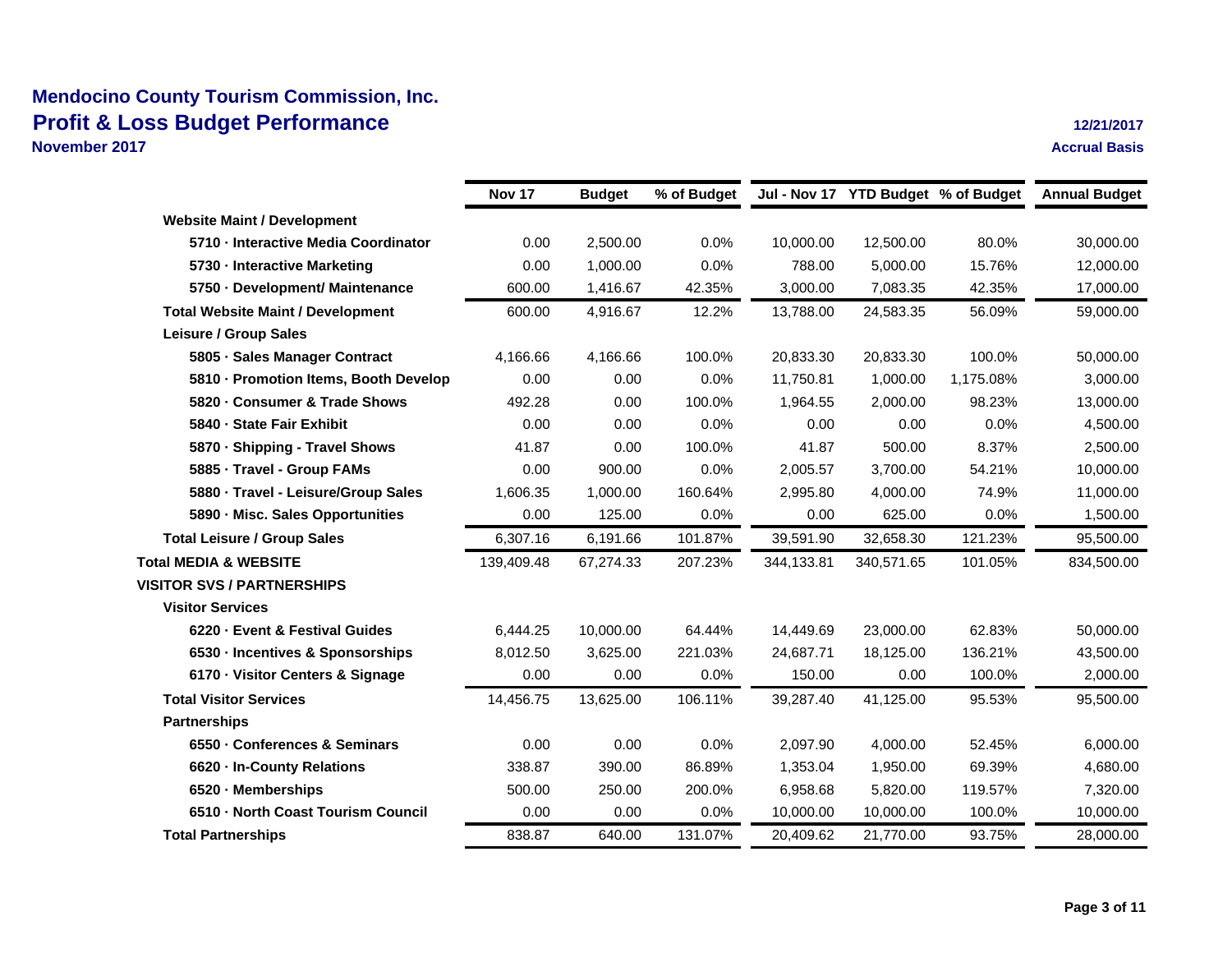**November 2017**

|                                          | Nov 17     | <b>Budget</b> | % of Budget |            | Jul - Nov 17 YTD Budget % of Budget |           | <b>Annual Budget</b> |
|------------------------------------------|------------|---------------|-------------|------------|-------------------------------------|-----------|----------------------|
| <b>Website Maint / Development</b>       |            |               |             |            |                                     |           |                      |
| 5710 - Interactive Media Coordinator     | 0.00       | 2,500.00      | 0.0%        | 10,000.00  | 12,500.00                           | 80.0%     | 30,000.00            |
| 5730 Interactive Marketing               | 0.00       | 1,000.00      | 0.0%        | 788.00     | 5,000.00                            | 15.76%    | 12,000.00            |
| 5750 Development/ Maintenance            | 600.00     | 1,416.67      | 42.35%      | 3,000.00   | 7,083.35                            | 42.35%    | 17,000.00            |
| <b>Total Website Maint / Development</b> | 600.00     | 4,916.67      | 12.2%       | 13,788.00  | 24,583.35                           | 56.09%    | 59,000.00            |
| Leisure / Group Sales                    |            |               |             |            |                                     |           |                      |
| 5805 Sales Manager Contract              | 4.166.66   | 4,166.66      | 100.0%      | 20,833.30  | 20,833.30                           | 100.0%    | 50,000.00            |
| 5810 - Promotion Items, Booth Develop    | 0.00       | 0.00          | 0.0%        | 11,750.81  | 1,000.00                            | 1,175.08% | 3,000.00             |
| 5820 Consumer & Trade Shows              | 492.28     | 0.00          | 100.0%      | 1,964.55   | 2,000.00                            | 98.23%    | 13,000.00            |
| 5840 - State Fair Exhibit                | 0.00       | 0.00          | 0.0%        | 0.00       | 0.00                                | 0.0%      | 4,500.00             |
| 5870 Shipping - Travel Shows             | 41.87      | 0.00          | 100.0%      | 41.87      | 500.00                              | 8.37%     | 2,500.00             |
| 5885 - Travel - Group FAMs               | 0.00       | 900.00        | 0.0%        | 2,005.57   | 3,700.00                            | 54.21%    | 10,000.00            |
| 5880 Travel - Leisure/Group Sales        | 1,606.35   | 1,000.00      | 160.64%     | 2,995.80   | 4,000.00                            | 74.9%     | 11,000.00            |
| 5890 Misc. Sales Opportunities           | 0.00       | 125.00        | 0.0%        | 0.00       | 625.00                              | 0.0%      | 1,500.00             |
| <b>Total Leisure / Group Sales</b>       | 6.307.16   | 6.191.66      | 101.87%     | 39.591.90  | 32,658.30                           | 121.23%   | 95,500.00            |
| <b>Total MEDIA &amp; WEBSITE</b>         | 139,409.48 | 67,274.33     | 207.23%     | 344,133.81 | 340,571.65                          | 101.05%   | 834,500.00           |
| <b>VISITOR SVS / PARTNERSHIPS</b>        |            |               |             |            |                                     |           |                      |
| <b>Visitor Services</b>                  |            |               |             |            |                                     |           |                      |
| 6220 - Event & Festival Guides           | 6,444.25   | 10,000.00     | 64.44%      | 14,449.69  | 23,000.00                           | 62.83%    | 50,000.00            |
| 6530 - Incentives & Sponsorships         | 8,012.50   | 3,625.00      | 221.03%     | 24,687.71  | 18,125.00                           | 136.21%   | 43,500.00            |
| 6170 Visitor Centers & Signage           | 0.00       | 0.00          | 0.0%        | 150.00     | 0.00                                | 100.0%    | 2,000.00             |
| <b>Total Visitor Services</b>            | 14,456.75  | 13,625.00     | 106.11%     | 39,287.40  | 41,125.00                           | 95.53%    | 95,500.00            |
| <b>Partnerships</b>                      |            |               |             |            |                                     |           |                      |
| 6550 Conferences & Seminars              | 0.00       | 0.00          | 0.0%        | 2,097.90   | 4,000.00                            | 52.45%    | 6,000.00             |
| 6620 - In-County Relations               | 338.87     | 390.00        | 86.89%      | 1,353.04   | 1,950.00                            | 69.39%    | 4,680.00             |
| 6520 Memberships                         | 500.00     | 250.00        | 200.0%      | 6,958.68   | 5,820.00                            | 119.57%   | 7,320.00             |
| 6510 - North Coast Tourism Council       | 0.00       | 0.00          | 0.0%        | 10,000.00  | 10,000.00                           | 100.0%    | 10,000.00            |
| <b>Total Partnerships</b>                | 838.87     | 640.00        | 131.07%     | 20,409.62  | 21,770.00                           | 93.75%    | 28,000.00            |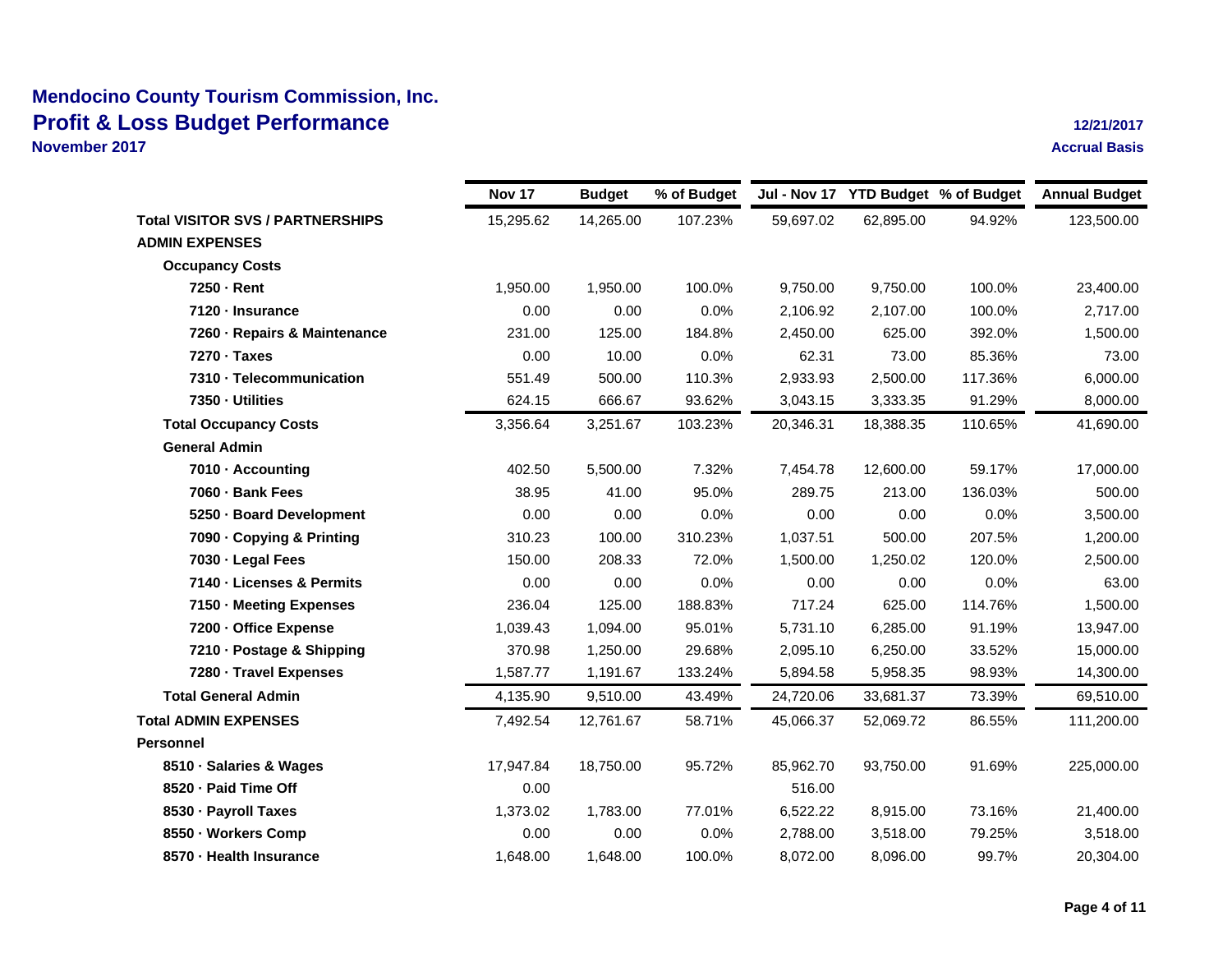**8570 · Health Insurance**

**November 2017**

|                                         | Nov 17    | <b>Budget</b> | % of Budget |           |           | Jul - Nov 17 YTD Budget % of Budget | <b>Annual Budget</b> |
|-----------------------------------------|-----------|---------------|-------------|-----------|-----------|-------------------------------------|----------------------|
| <b>Total VISITOR SVS / PARTNERSHIPS</b> | 15,295.62 | 14,265.00     | 107.23%     | 59,697.02 | 62,895.00 | 94.92%                              | 123,500.00           |
| <b>ADMIN EXPENSES</b>                   |           |               |             |           |           |                                     |                      |
| <b>Occupancy Costs</b>                  |           |               |             |           |           |                                     |                      |
| 7250 Rent                               | 1,950.00  | 1,950.00      | 100.0%      | 9,750.00  | 9,750.00  | 100.0%                              | 23,400.00            |
| 7120 - Insurance                        | 0.00      | 0.00          | 0.0%        | 2,106.92  | 2,107.00  | 100.0%                              | 2,717.00             |
| 7260 Repairs & Maintenance              | 231.00    | 125.00        | 184.8%      | 2,450.00  | 625.00    | 392.0%                              | 1,500.00             |
| 7270 · Taxes                            | 0.00      | 10.00         | 0.0%        | 62.31     | 73.00     | 85.36%                              | 73.00                |
| 7310 - Telecommunication                | 551.49    | 500.00        | 110.3%      | 2,933.93  | 2,500.00  | 117.36%                             | 6,000.00             |
| 7350 Utilities                          | 624.15    | 666.67        | 93.62%      | 3,043.15  | 3,333.35  | 91.29%                              | 8,000.00             |
| <b>Total Occupancy Costs</b>            | 3,356.64  | 3,251.67      | 103.23%     | 20,346.31 | 18,388.35 | 110.65%                             | 41,690.00            |
| <b>General Admin</b>                    |           |               |             |           |           |                                     |                      |
| 7010 Accounting                         | 402.50    | 5,500.00      | 7.32%       | 7,454.78  | 12,600.00 | 59.17%                              | 17,000.00            |
| 7060 Bank Fees                          | 38.95     | 41.00         | 95.0%       | 289.75    | 213.00    | 136.03%                             | 500.00               |
| 5250 Board Development                  | 0.00      | 0.00          | 0.0%        | 0.00      | 0.00      | 0.0%                                | 3,500.00             |
| 7090 Copying & Printing                 | 310.23    | 100.00        | 310.23%     | 1,037.51  | 500.00    | 207.5%                              | 1,200.00             |
| 7030 Legal Fees                         | 150.00    | 208.33        | 72.0%       | 1,500.00  | 1,250.02  | 120.0%                              | 2,500.00             |
| 7140 - Licenses & Permits               | 0.00      | 0.00          | 0.0%        | 0.00      | 0.00      | 0.0%                                | 63.00                |
| 7150 - Meeting Expenses                 | 236.04    | 125.00        | 188.83%     | 717.24    | 625.00    | 114.76%                             | 1,500.00             |
| 7200 - Office Expense                   | 1,039.43  | 1,094.00      | 95.01%      | 5,731.10  | 6,285.00  | 91.19%                              | 13,947.00            |
| 7210 Postage & Shipping                 | 370.98    | 1,250.00      | 29.68%      | 2,095.10  | 6,250.00  | 33.52%                              | 15,000.00            |
| 7280 Travel Expenses                    | 1,587.77  | 1,191.67      | 133.24%     | 5,894.58  | 5,958.35  | 98.93%                              | 14,300.00            |
| <b>Total General Admin</b>              | 4,135.90  | 9,510.00      | 43.49%      | 24,720.06 | 33,681.37 | 73.39%                              | 69,510.00            |
| <b>Total ADMIN EXPENSES</b>             | 7,492.54  | 12,761.67     | 58.71%      | 45,066.37 | 52,069.72 | 86.55%                              | 111,200.00           |
| <b>Personnel</b>                        |           |               |             |           |           |                                     |                      |
| 8510 Salaries & Wages                   | 17,947.84 | 18,750.00     | 95.72%      | 85,962.70 | 93,750.00 | 91.69%                              | 225,000.00           |
| 8520 - Paid Time Off                    | 0.00      |               |             | 516.00    |           |                                     |                      |
| 8530 Payroll Taxes                      | 1,373.02  | 1,783.00      | 77.01%      | 6,522.22  | 8,915.00  | 73.16%                              | 21,400.00            |
| 8550 Workers Comp                       | 0.00      | 0.00          | 0.0%        | 2,788.00  | 3,518.00  | 79.25%                              | 3,518.00             |

1,648.00 1,648.00 100.0% 8,072.00 8,096.00 99.7% 20,304.00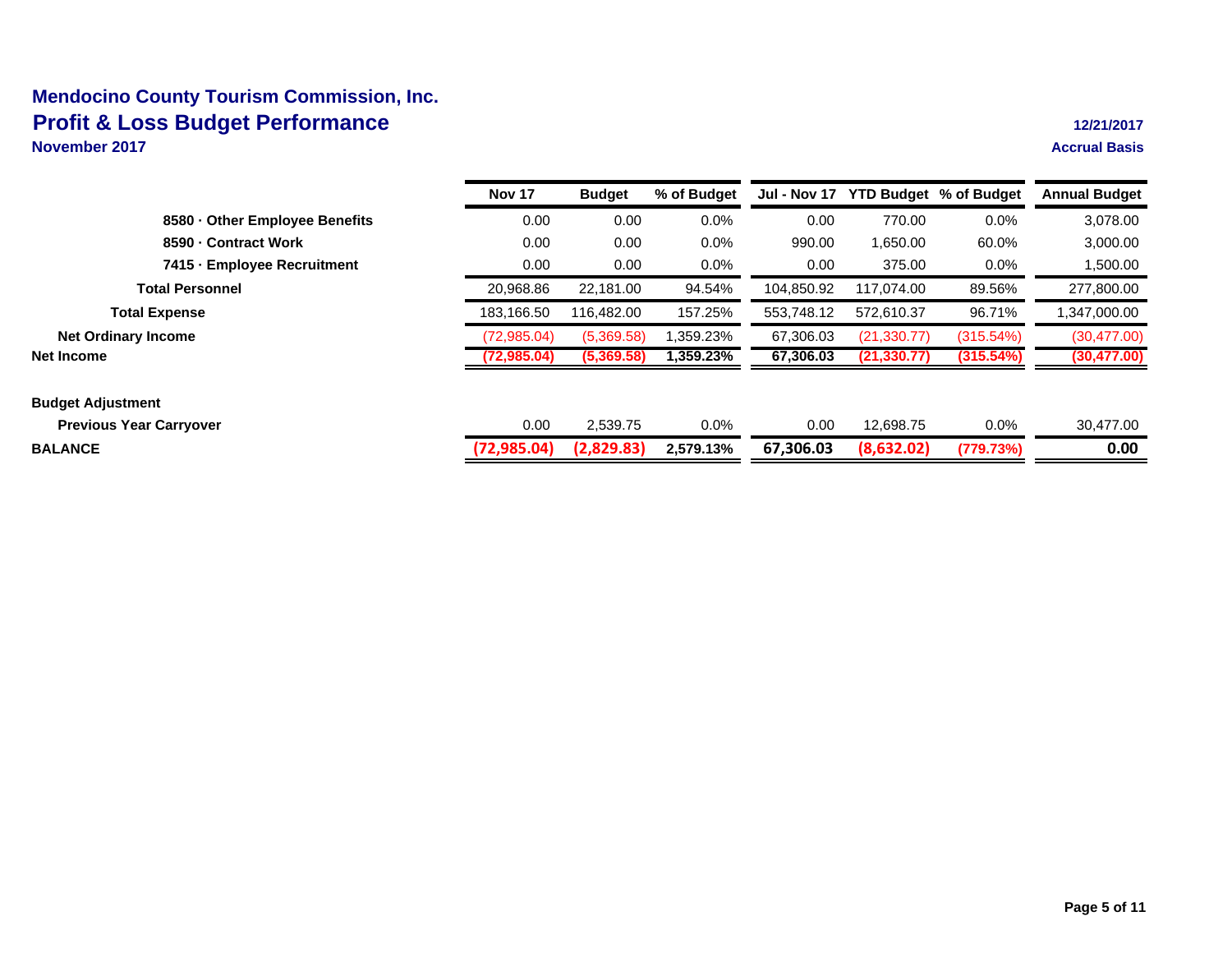**November 2017**

|                                | <b>Nov 17</b> | <b>Budget</b> | % of Budget | <b>Jul - Nov 17</b> |              | <b>YTD Budget % of Budget</b> | <b>Annual Budget</b> |
|--------------------------------|---------------|---------------|-------------|---------------------|--------------|-------------------------------|----------------------|
| 8580 Other Employee Benefits   | 0.00          | 0.00          | 0.0%        | 0.00                | 770.00       | 0.0%                          | 3,078.00             |
| 8590 Contract Work             | 0.00          | 0.00          | 0.0%        | 990.00              | 1.650.00     | 60.0%                         | 3,000.00             |
| 7415 Employee Recruitment      | 0.00          | 0.00          | $0.0\%$     | 0.00                | 375.00       | $0.0\%$                       | 1,500.00             |
| <b>Total Personnel</b>         | 20.968.86     | 22.181.00     | 94.54%      | 104,850.92          | 117,074.00   | 89.56%                        | 277,800.00           |
| <b>Total Expense</b>           | 183.166.50    | 116,482.00    | 157.25%     | 553,748.12          | 572,610.37   | 96.71%                        | 1,347,000.00         |
| <b>Net Ordinary Income</b>     | (72,985.04)   | (5,369.58)    | 1,359.23%   | 67,306.03           | (21, 330.77) | (315.54%)                     | (30, 477.00)         |
| Net Income                     | (72,985.04)   | (5,369.58)    | 1,359.23%   | 67,306.03           | (21, 330.77) | (315.54%)                     | (30, 477.00)         |
| <b>Budget Adjustment</b>       |               |               |             |                     |              |                               |                      |
| <b>Previous Year Carryover</b> | 0.00          | 2,539.75      | 0.0%        | 0.00                | 12,698.75    | $0.0\%$                       | 30,477.00            |
| <b>BALANCE</b>                 | (72,985.04)   | (2,829.83)    | 2,579.13%   | 67,306.03           | (8,632.02)   | (779.73%)                     | 0.00                 |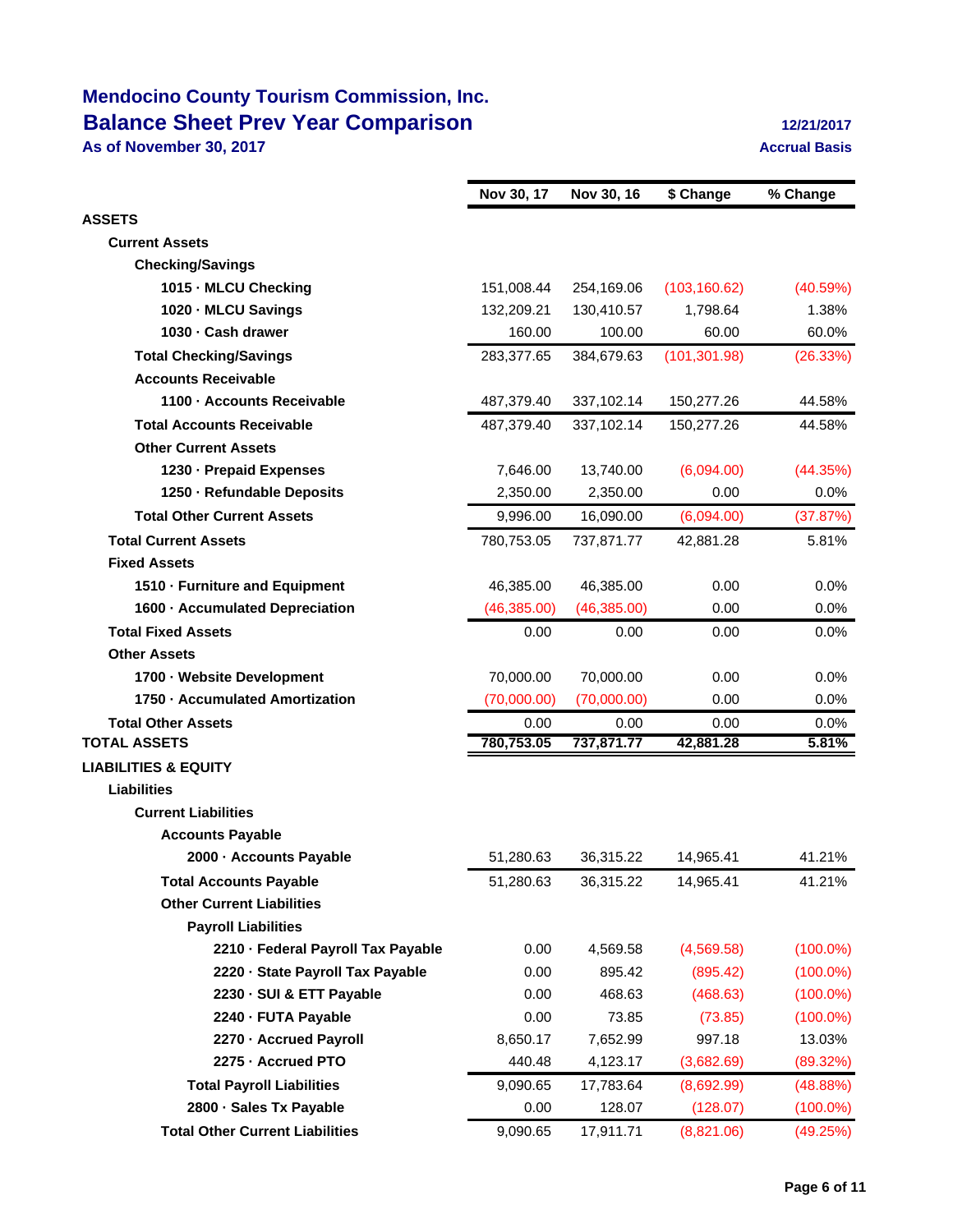## **Mendocino County Tourism Commission, Inc. Balance Sheet Prev Year Comparison 12/21/2017**

**As of November 30, 2017 Accrual Basis**

|                                                           | Nov 30, 17         | Nov 30, 16         | \$ Change         | % Change      |
|-----------------------------------------------------------|--------------------|--------------------|-------------------|---------------|
| <b>ASSETS</b>                                             |                    |                    |                   |               |
| <b>Current Assets</b>                                     |                    |                    |                   |               |
| <b>Checking/Savings</b>                                   |                    |                    |                   |               |
| 1015 - MLCU Checking                                      | 151,008.44         | 254,169.06         | (103, 160.62)     | (40.59%)      |
| 1020 MLCU Savings                                         | 132,209.21         | 130,410.57         | 1,798.64          | 1.38%         |
| 1030 Cash drawer                                          | 160.00             | 100.00             | 60.00             | 60.0%         |
| <b>Total Checking/Savings</b>                             | 283,377.65         | 384,679.63         | (101, 301.98)     | (26.33%)      |
| <b>Accounts Receivable</b>                                |                    |                    |                   |               |
| 1100 Accounts Receivable                                  | 487,379.40         | 337,102.14         | 150,277.26        | 44.58%        |
| <b>Total Accounts Receivable</b>                          | 487,379.40         | 337,102.14         | 150,277.26        | 44.58%        |
| <b>Other Current Assets</b>                               |                    |                    |                   |               |
| 1230 Prepaid Expenses                                     | 7,646.00           | 13,740.00          | (6,094.00)        | (44.35%)      |
| 1250 - Refundable Deposits                                | 2,350.00           | 2,350.00           | 0.00              | 0.0%          |
| <b>Total Other Current Assets</b>                         | 9,996.00           | 16,090.00          | (6,094.00)        | (37.87%)      |
| <b>Total Current Assets</b>                               | 780,753.05         |                    | 42,881.28         | 5.81%         |
| <b>Fixed Assets</b>                                       |                    | 737,871.77         |                   |               |
|                                                           |                    |                    | 0.00              | 0.0%          |
| 1510 - Furniture and Equipment                            | 46,385.00          | 46,385.00          |                   |               |
| 1600 - Accumulated Depreciation                           | (46, 385.00)       | (46, 385.00)       | 0.00              | 0.0%          |
| <b>Total Fixed Assets</b>                                 | 0.00               | 0.00               | 0.00              | 0.0%          |
| <b>Other Assets</b>                                       |                    |                    |                   |               |
| 1700 Website Development<br>1750 Accumulated Amortization | 70,000.00          | 70,000.00          | 0.00              | $0.0\%$       |
|                                                           | (70,000.00)        | (70,000.00)        | 0.00              | 0.0%          |
| <b>Total Other Assets</b><br><b>TOTAL ASSETS</b>          | 0.00<br>780,753.05 | 0.00<br>737,871.77 | 0.00<br>42,881.28 | 0.0%<br>5.81% |
| <b>LIABILITIES &amp; EQUITY</b>                           |                    |                    |                   |               |
|                                                           |                    |                    |                   |               |
| <b>Liabilities</b><br><b>Current Liabilities</b>          |                    |                    |                   |               |
|                                                           |                    |                    |                   |               |
| <b>Accounts Payable</b>                                   |                    |                    |                   |               |
| 2000 - Accounts Payable                                   | 51,280.63          | 36,315.22          | 14,965.41         | 41.21%        |
| <b>Total Accounts Payable</b>                             | 51,280.63          | 36,315.22          | 14,965.41         | 41.21%        |
| <b>Other Current Liabilities</b>                          |                    |                    |                   |               |
| <b>Payroll Liabilities</b>                                |                    |                    |                   |               |
| 2210 - Federal Payroll Tax Payable                        | 0.00               | 4,569.58           | (4,569.58)        | $(100.0\%)$   |
| 2220 - State Payroll Tax Payable                          | 0.00               | 895.42             | (895.42)          | $(100.0\%)$   |
| 2230 - SUI & ETT Payable                                  | 0.00               | 468.63             | (468.63)          | $(100.0\%)$   |
| 2240 - FUTA Payable                                       | 0.00               | 73.85              | (73.85)           | $(100.0\%)$   |
| 2270 - Accrued Payroll                                    | 8,650.17           | 7,652.99           | 997.18            | 13.03%        |
| 2275 - Accrued PTO                                        | 440.48             | 4,123.17           | (3,682.69)        | (89.32%)      |
| <b>Total Payroll Liabilities</b>                          | 9,090.65           | 17,783.64          | (8,692.99)        | (48.88%)      |
| 2800 · Sales Tx Payable                                   | 0.00               | 128.07             | (128.07)          | $(100.0\%)$   |
| <b>Total Other Current Liabilities</b>                    | 9,090.65           | 17,911.71          | (8,821.06)        | (49.25%)      |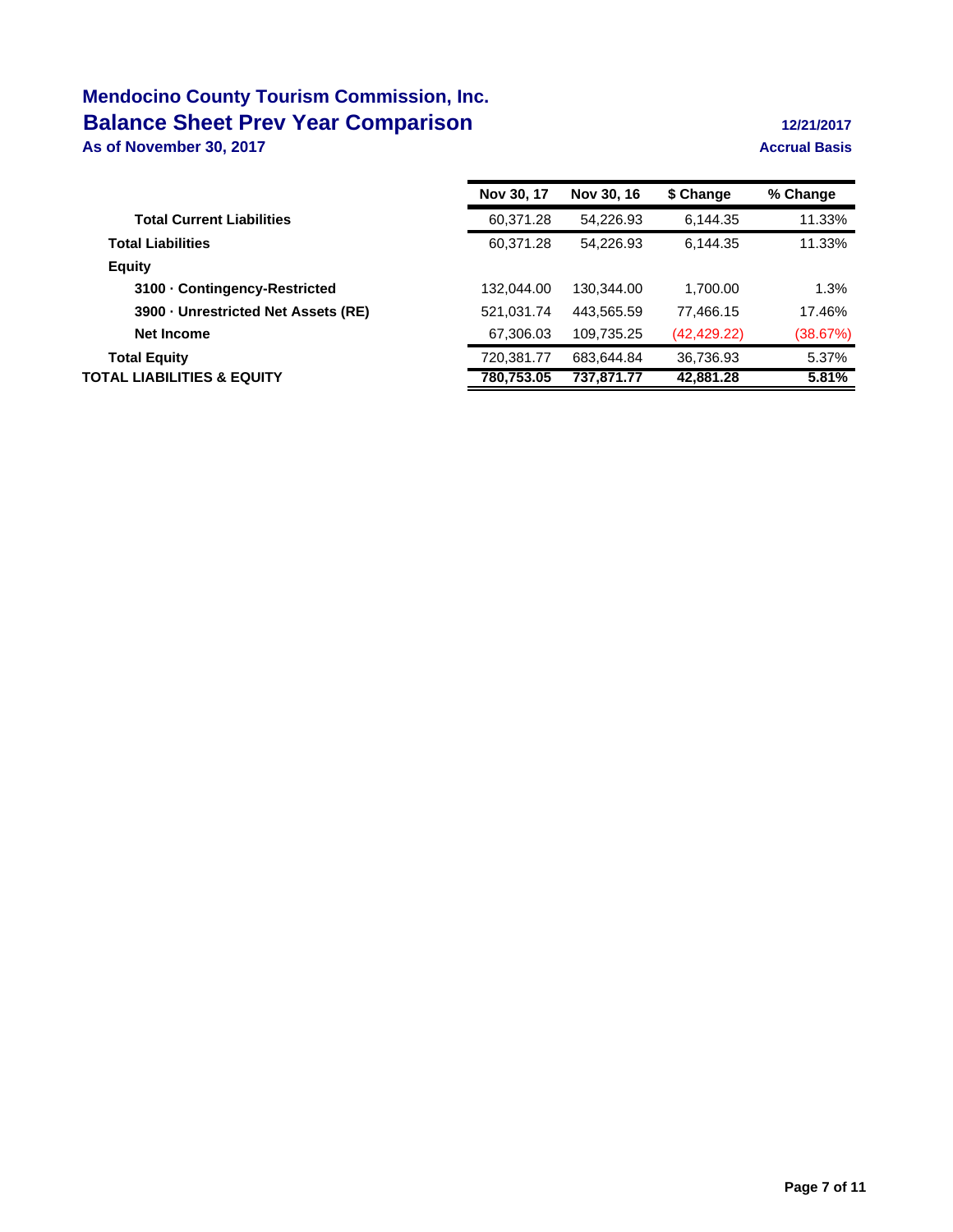# **Mendocino County Tourism Commission, Inc. Balance Sheet Prev Year Comparison 12/21/2017**

**As of November 30, 2017 Accrual Basis**

|                                   | Nov 30, 17 | Nov 30, 16 | \$ Change    | % Change |
|-----------------------------------|------------|------------|--------------|----------|
| <b>Total Current Liabilities</b>  | 60,371.28  | 54,226.93  | 6,144.35     | 11.33%   |
| <b>Total Liabilities</b>          | 60,371.28  | 54.226.93  | 6.144.35     | 11.33%   |
| <b>Equity</b>                     |            |            |              |          |
| 3100 Contingency-Restricted       | 132,044.00 | 130,344.00 | 1.700.00     | 1.3%     |
| 3900 Unrestricted Net Assets (RE) | 521,031.74 | 443,565.59 | 77,466.15    | 17.46%   |
| Net Income                        | 67,306.03  | 109,735.25 | (42, 429.22) | (38.67%) |
| <b>Total Equity</b>               | 720.381.77 | 683.644.84 | 36,736.93    | 5.37%    |
| TOTAL LIABILITIES & EQUITY        | 780.753.05 | 737.871.77 | 42,881.28    | 5.81%    |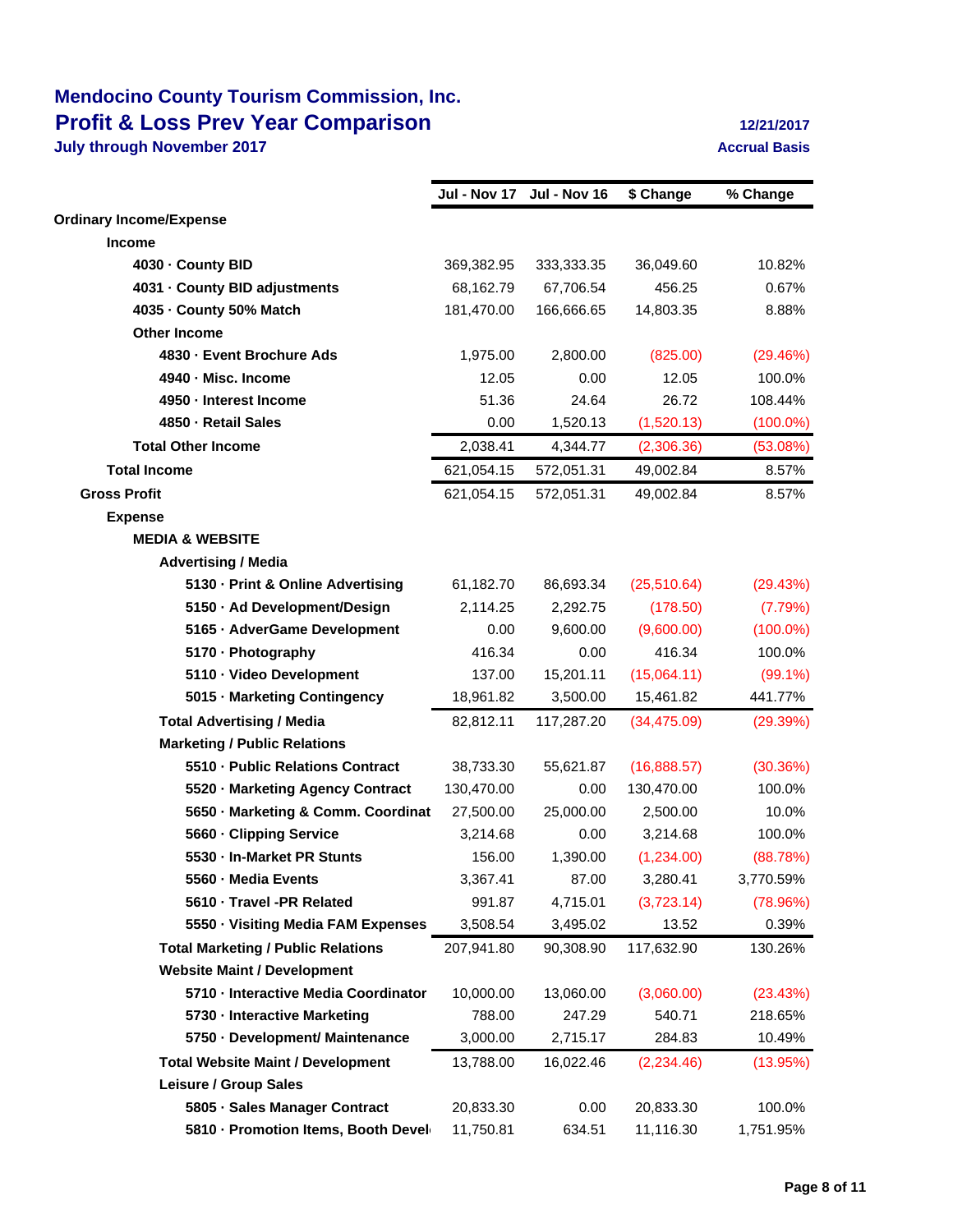## **Mendocino County Tourism Commission, Inc. Profit & Loss Prev Year Comparison 12/21/2017**

**July through November 2017 Accrual Basis Accrual Basis** 

|                                           | Jul - Nov 17 | Jul - Nov 16 | \$ Change    | % Change    |
|-------------------------------------------|--------------|--------------|--------------|-------------|
| <b>Ordinary Income/Expense</b>            |              |              |              |             |
| <b>Income</b>                             |              |              |              |             |
| 4030 County BID                           | 369,382.95   | 333,333.35   | 36,049.60    | 10.82%      |
| 4031 County BID adjustments               | 68,162.79    | 67,706.54    | 456.25       | 0.67%       |
| 4035 County 50% Match                     | 181,470.00   | 166,666.65   | 14,803.35    | 8.88%       |
| <b>Other Income</b>                       |              |              |              |             |
| 4830 - Event Brochure Ads                 | 1,975.00     | 2,800.00     | (825.00)     | (29.46%)    |
| 4940 - Misc. Income                       | 12.05        | 0.00         | 12.05        | 100.0%      |
| 4950 - Interest Income                    | 51.36        | 24.64        | 26.72        | 108.44%     |
| 4850 - Retail Sales                       | 0.00         | 1,520.13     | (1,520.13)   | $(100.0\%)$ |
| <b>Total Other Income</b>                 | 2,038.41     | 4,344.77     | (2,306.36)   | (53.08%)    |
| <b>Total Income</b>                       | 621,054.15   | 572,051.31   | 49,002.84    | 8.57%       |
| <b>Gross Profit</b>                       | 621,054.15   | 572,051.31   | 49,002.84    | 8.57%       |
| <b>Expense</b>                            |              |              |              |             |
| <b>MEDIA &amp; WEBSITE</b>                |              |              |              |             |
| <b>Advertising / Media</b>                |              |              |              |             |
| 5130 - Print & Online Advertising         | 61,182.70    | 86,693.34    | (25, 510.64) | (29.43%)    |
| 5150 · Ad Development/Design              | 2,114.25     | 2,292.75     | (178.50)     | (7.79%)     |
| 5165 - AdverGame Development              | 0.00         | 9,600.00     | (9,600.00)   | $(100.0\%)$ |
| 5170 - Photography                        | 416.34       | 0.00         | 416.34       | 100.0%      |
| 5110 · Video Development                  | 137.00       | 15,201.11    | (15,064.11)  | $(99.1\%)$  |
| 5015 - Marketing Contingency              | 18,961.82    | 3,500.00     | 15,461.82    | 441.77%     |
| <b>Total Advertising / Media</b>          | 82,812.11    | 117,287.20   | (34, 475.09) | (29.39%)    |
| <b>Marketing / Public Relations</b>       |              |              |              |             |
| 5510 - Public Relations Contract          | 38,733.30    | 55,621.87    | (16,888.57)  | (30.36%)    |
| 5520 - Marketing Agency Contract          | 130,470.00   | 0.00         | 130,470.00   | 100.0%      |
| 5650 - Marketing & Comm. Coordinat        | 27,500.00    | 25,000.00    | 2,500.00     | 10.0%       |
| 5660 - Clipping Service                   | 3,214.68     | 0.00         | 3,214.68     | 100.0%      |
| 5530 - In-Market PR Stunts                | 156.00       | 1,390.00     | (1,234.00)   | (88.78%)    |
| 5560 - Media Events                       | 3,367.41     | 87.00        | 3,280.41     | 3,770.59%   |
| 5610 · Travel -PR Related                 | 991.87       | 4,715.01     | (3,723.14)   | (78.96%)    |
| 5550 - Visiting Media FAM Expenses        | 3,508.54     | 3,495.02     | 13.52        | 0.39%       |
| <b>Total Marketing / Public Relations</b> | 207,941.80   | 90,308.90    | 117,632.90   | 130.26%     |
| <b>Website Maint / Development</b>        |              |              |              |             |
| 5710 - Interactive Media Coordinator      | 10,000.00    | 13,060.00    | (3,060.00)   | (23.43%)    |
| 5730 - Interactive Marketing              | 788.00       | 247.29       | 540.71       | 218.65%     |
| 5750 - Development/ Maintenance           | 3,000.00     | 2,715.17     | 284.83       | 10.49%      |
| <b>Total Website Maint / Development</b>  | 13,788.00    | 16,022.46    | (2,234.46)   | (13.95%)    |
| Leisure / Group Sales                     |              |              |              |             |
| 5805 · Sales Manager Contract             | 20,833.30    | 0.00         | 20,833.30    | 100.0%      |
| 5810 - Promotion Items, Booth Devel       | 11,750.81    | 634.51       | 11,116.30    | 1,751.95%   |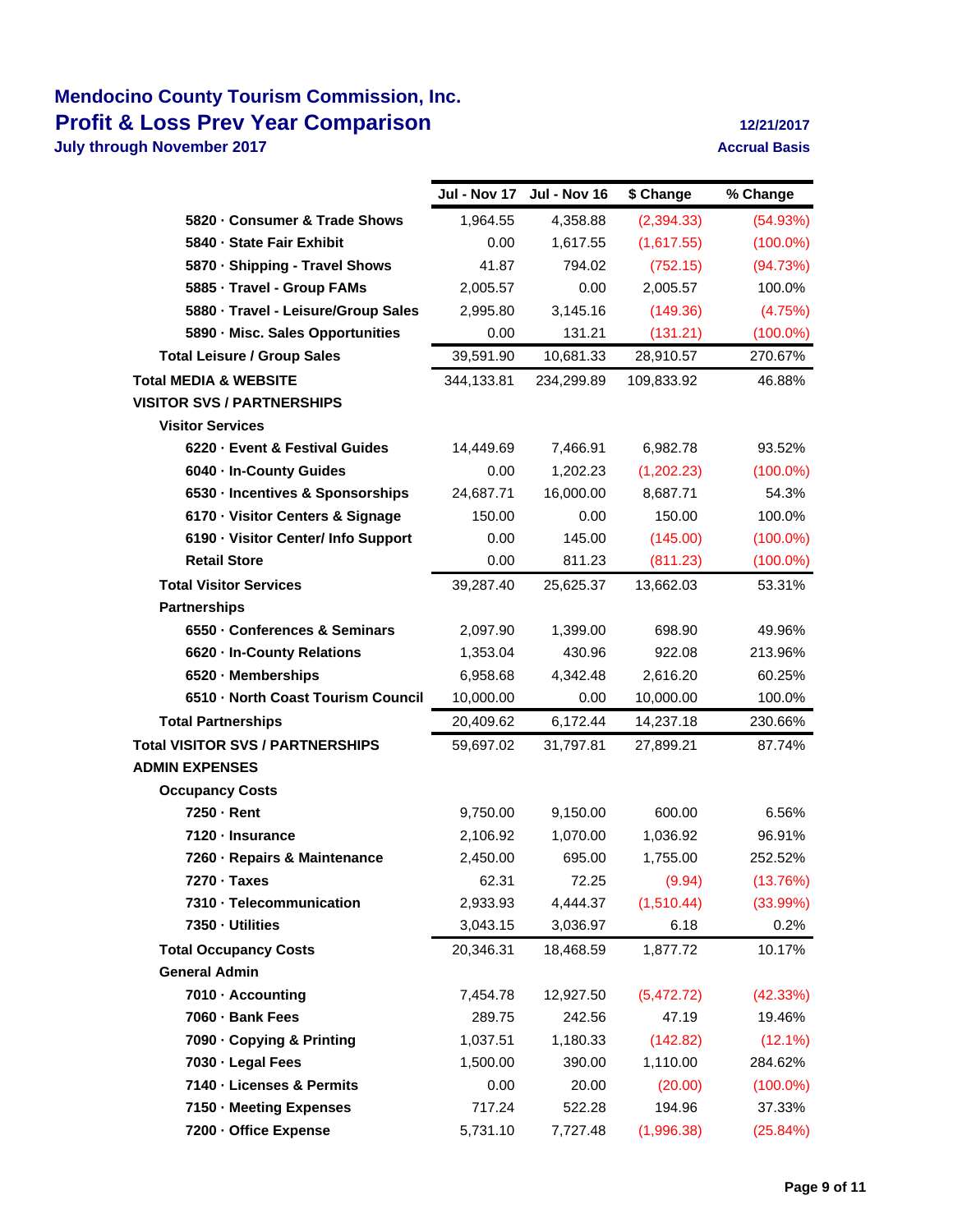## **Mendocino County Tourism Commission, Inc. Profit & Loss Prev Year Comparison 12/21/2017**

**July through November 2017 Accrual Basis Accrual Basis** 

|                                         |            | Jul - Nov 17 Jul - Nov 16 | \$ Change  | % Change    |
|-----------------------------------------|------------|---------------------------|------------|-------------|
| 5820 - Consumer & Trade Shows           | 1,964.55   | 4,358.88                  | (2,394.33) | (54.93%)    |
| 5840 - State Fair Exhibit               | 0.00       | 1,617.55                  | (1,617.55) | $(100.0\%)$ |
| 5870 - Shipping - Travel Shows          | 41.87      | 794.02                    | (752.15)   | (94.73%)    |
| 5885 - Travel - Group FAMs              | 2,005.57   | 0.00                      | 2,005.57   | 100.0%      |
| 5880 - Travel - Leisure/Group Sales     | 2,995.80   | 3,145.16                  | (149.36)   | (4.75%)     |
| 5890 - Misc. Sales Opportunities        | 0.00       | 131.21                    | (131.21)   | $(100.0\%)$ |
| <b>Total Leisure / Group Sales</b>      | 39,591.90  | 10,681.33                 | 28,910.57  | 270.67%     |
| <b>Total MEDIA &amp; WEBSITE</b>        | 344,133.81 | 234,299.89                | 109,833.92 | 46.88%      |
| <b>VISITOR SVS / PARTNERSHIPS</b>       |            |                           |            |             |
| <b>Visitor Services</b>                 |            |                           |            |             |
| 6220 - Event & Festival Guides          | 14,449.69  | 7,466.91                  | 6,982.78   | 93.52%      |
| 6040 - In-County Guides                 | 0.00       | 1,202.23                  | (1,202.23) | $(100.0\%)$ |
| 6530 - Incentives & Sponsorships        | 24,687.71  | 16,000.00                 | 8,687.71   | 54.3%       |
| 6170 - Visitor Centers & Signage        | 150.00     | 0.00                      | 150.00     | 100.0%      |
| 6190 - Visitor Center/ Info Support     | 0.00       | 145.00                    | (145.00)   | $(100.0\%)$ |
| <b>Retail Store</b>                     | 0.00       | 811.23                    | (811.23)   | $(100.0\%)$ |
| <b>Total Visitor Services</b>           | 39,287.40  | 25,625.37                 | 13,662.03  | 53.31%      |
| <b>Partnerships</b>                     |            |                           |            |             |
| 6550 - Conferences & Seminars           | 2,097.90   | 1,399.00                  | 698.90     | 49.96%      |
| 6620 - In-County Relations              | 1,353.04   | 430.96                    | 922.08     | 213.96%     |
| 6520 - Memberships                      | 6,958.68   | 4,342.48                  | 2,616.20   | 60.25%      |
| 6510 - North Coast Tourism Council      | 10,000.00  | 0.00                      | 10,000.00  | 100.0%      |
| <b>Total Partnerships</b>               | 20,409.62  | 6,172.44                  | 14,237.18  | 230.66%     |
| <b>Total VISITOR SVS / PARTNERSHIPS</b> | 59,697.02  | 31,797.81                 | 27,899.21  | 87.74%      |
| <b>ADMIN EXPENSES</b>                   |            |                           |            |             |
| <b>Occupancy Costs</b>                  |            |                           |            |             |
| 7250 - Rent                             | 9,750.00   | 9,150.00                  | 600.00     | 6.56%       |
| 7120 - Insurance                        | 2,106.92   | 1,070.00                  | 1,036.92   | 96.91%      |
| 7260 - Repairs & Maintenance            | 2,450.00   | 695.00                    | 1,755.00   | 252.52%     |
| 7270 · Taxes                            | 62.31      | 72.25                     | (9.94)     | (13.76%)    |
| 7310 - Telecommunication                | 2,933.93   | 4,444.37                  | (1,510.44) | (33.99%)    |
| 7350 - Utilities                        | 3,043.15   | 3,036.97                  | 6.18       | 0.2%        |
| <b>Total Occupancy Costs</b>            | 20,346.31  | 18,468.59                 | 1,877.72   | 10.17%      |
| <b>General Admin</b>                    |            |                           |            |             |
| 7010 - Accounting                       | 7,454.78   | 12,927.50                 | (5,472.72) | (42.33%)    |
| 7060 · Bank Fees                        | 289.75     | 242.56                    | 47.19      | 19.46%      |
| 7090 - Copying & Printing               | 1,037.51   | 1,180.33                  | (142.82)   | (12.1%)     |
| 7030 - Legal Fees                       | 1,500.00   | 390.00                    | 1,110.00   | 284.62%     |
| 7140 - Licenses & Permits               | 0.00       | 20.00                     | (20.00)    | $(100.0\%)$ |
| 7150 - Meeting Expenses                 | 717.24     | 522.28                    | 194.96     | 37.33%      |
| 7200 - Office Expense                   | 5,731.10   | 7,727.48                  | (1,996.38) | (25.84%)    |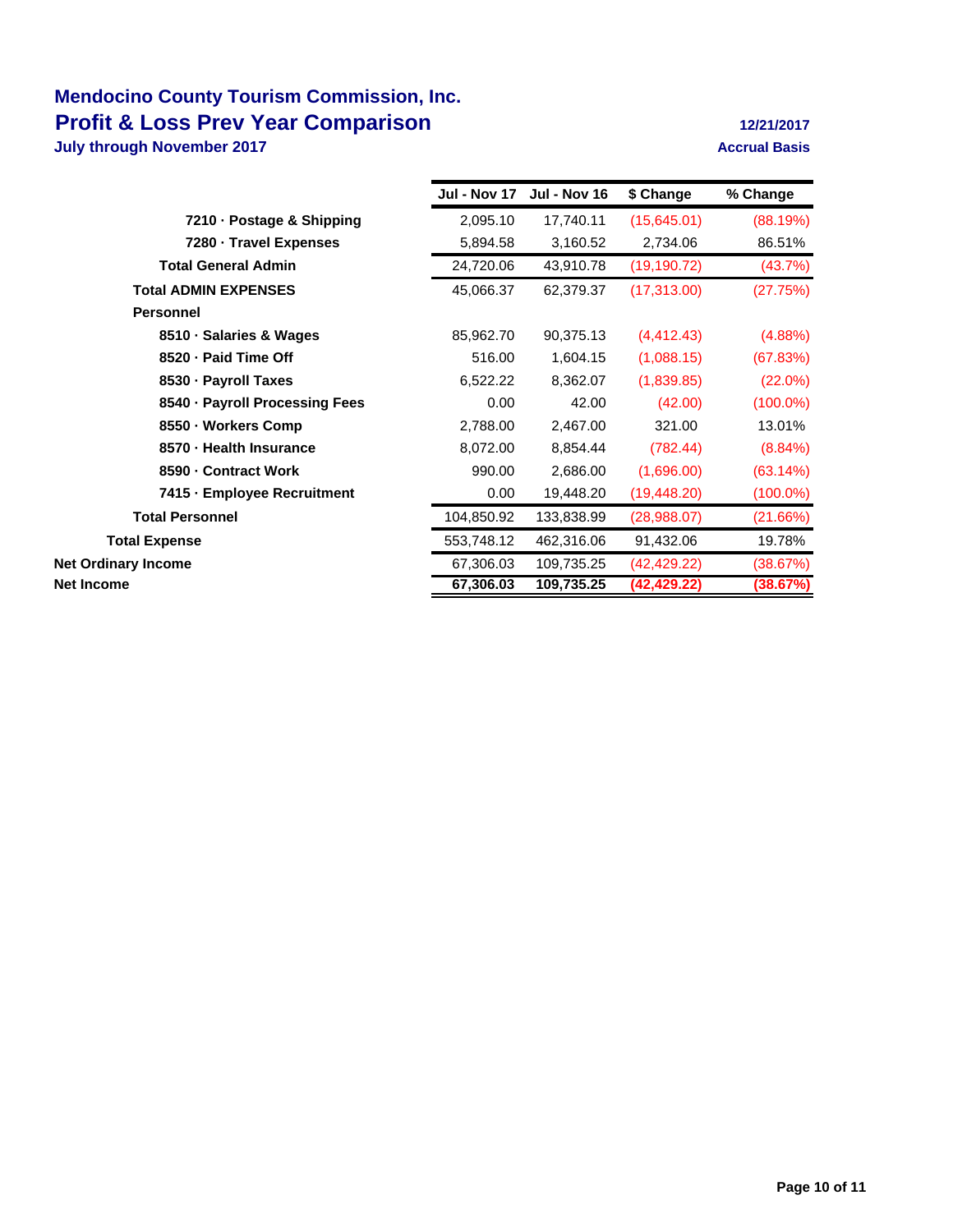## **Mendocino County Tourism Commission, Inc. Profit & Loss Prev Year Comparison 12/21/2017**

**July through November 2017 Accrual Basis Accrual Basis** 

|                                | Jul - Nov 17 | <b>Jul - Nov 16</b> | \$ Change    | % Change    |
|--------------------------------|--------------|---------------------|--------------|-------------|
| 7210 - Postage & Shipping      | 2,095.10     | 17,740.11           | (15,645.01)  | (88.19%)    |
| 7280 Travel Expenses           | 5,894.58     | 3,160.52            | 2,734.06     | 86.51%      |
| <b>Total General Admin</b>     | 24,720.06    | 43,910.78           | (19, 190.72) | (43.7%)     |
| <b>Total ADMIN EXPENSES</b>    | 45,066.37    | 62,379.37           | (17, 313.00) | (27.75%)    |
| <b>Personnel</b>               |              |                     |              |             |
| 8510 · Salaries & Wages        | 85,962.70    | 90,375.13           | (4, 412.43)  | $(4.88\%)$  |
| 8520 - Paid Time Off           | 516.00       | 1,604.15            | (1,088.15)   | (67.83%)    |
| 8530 - Payroll Taxes           | 6,522.22     | 8,362.07            | (1,839.85)   | $(22.0\%)$  |
| 8540 · Payroll Processing Fees | 0.00         | 42.00               | (42.00)      | $(100.0\%)$ |
| 8550 - Workers Comp            | 2,788.00     | 2,467.00            | 321.00       | 13.01%      |
| 8570 - Health Insurance        | 8,072.00     | 8,854.44            | (782.44)     | $(8.84\%)$  |
| 8590 - Contract Work           | 990.00       | 2,686.00            | (1,696.00)   | (63.14%)    |
| 7415 - Employee Recruitment    | 0.00         | 19,448.20           | (19, 448.20) | $(100.0\%)$ |
| <b>Total Personnel</b>         | 104,850.92   | 133,838.99          | (28,988.07)  | (21.66%)    |
| <b>Total Expense</b>           | 553,748.12   | 462,316.06          | 91,432.06    | 19.78%      |
| <b>Net Ordinary Income</b>     | 67,306.03    | 109,735.25          | (42, 429.22) | (38.67%)    |
| <b>Net Income</b>              | 67,306.03    | 109,735.25          | (42, 429.22) | (38.67%)    |